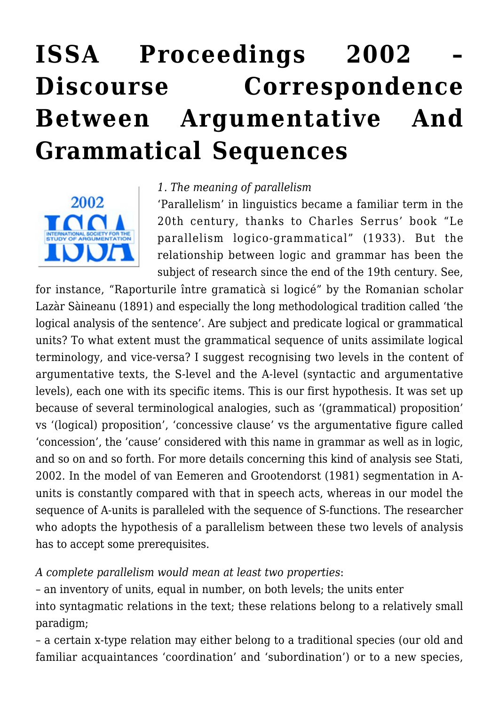# **[ISSA Proceedings 2002 –](https://rozenbergquarterly.com/issa-proceedings-2002-discourse-correspondence-between-argumentative-and-grammatical-sequences/) [Discourse Correspondence](https://rozenbergquarterly.com/issa-proceedings-2002-discourse-correspondence-between-argumentative-and-grammatical-sequences/) [Between Argumentative And](https://rozenbergquarterly.com/issa-proceedings-2002-discourse-correspondence-between-argumentative-and-grammatical-sequences/) [Grammatical Sequences](https://rozenbergquarterly.com/issa-proceedings-2002-discourse-correspondence-between-argumentative-and-grammatical-sequences/)**



#### *1. The meaning of parallelism*

'Parallelism' in linguistics became a familiar term in the 20th century, thanks to Charles Serrus' book "Le parallelism logico-grammatical" (1933). But the relationship between logic and grammar has been the subject of research since the end of the 19th century. See,

for instance, "Raporturile între gramaticà si logicé" by the Romanian scholar Lazàr Sàineanu (1891) and especially the long methodological tradition called 'the logical analysis of the sentence'. Are subject and predicate logical or grammatical units? To what extent must the grammatical sequence of units assimilate logical terminology, and vice-versa? I suggest recognising two levels in the content of argumentative texts, the S-level and the A-level (syntactic and argumentative levels), each one with its specific items. This is our first hypothesis. It was set up because of several terminological analogies, such as '(grammatical) proposition' vs '(logical) proposition', 'concessive clause' vs the argumentative figure called 'concession', the 'cause' considered with this name in grammar as well as in logic, and so on and so forth. For more details concerning this kind of analysis see Stati, 2002. In the model of van Eemeren and Grootendorst (1981) segmentation in Aunits is constantly compared with that in speech acts, whereas in our model the sequence of A-units is paralleled with the sequence of S-functions. The researcher who adopts the hypothesis of a parallelism between these two levels of analysis has to accept some prerequisites.

*A complete parallelism would mean at least two properties*:

– an inventory of units, equal in number, on both levels; the units enter

into syntagmatic relations in the text; these relations belong to a relatively small paradigm;

– a certain x-type relation may either belong to a traditional species (our old and familiar acquaintances 'coordination' and 'subordination') or to a new species,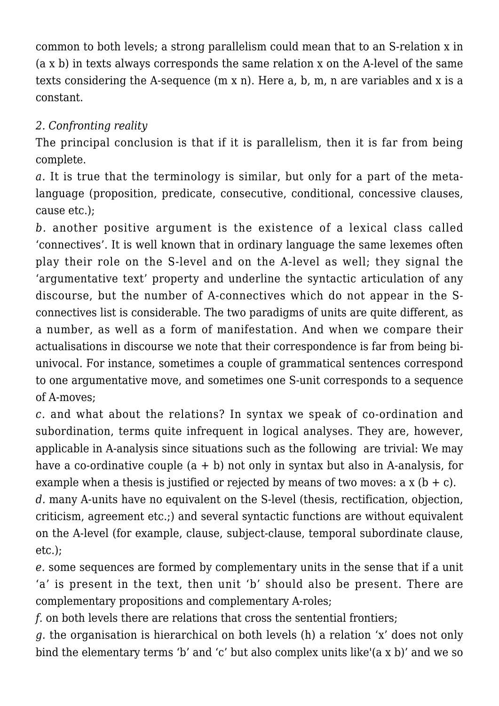common to both levels; a strong parallelism could mean that to an S-relation x in (a x b) in texts always corresponds the same relation x on the A-level of the same texts considering the A-sequence (m x n). Here a, b, m, n are variables and x is a constant.

# *2. Confronting reality*

The principal conclusion is that if it is parallelism, then it is far from being complete.

*a.* It is true that the terminology is similar, but only for a part of the metalanguage (proposition, predicate, consecutive, conditional, concessive clauses, cause etc.);

*b.* another positive argument is the existence of a lexical class called 'connectives'. It is well known that in ordinary language the same lexemes often play their role on the S-level and on the A-level as well; they signal the 'argumentative text' property and underline the syntactic articulation of any discourse, but the number of A-connectives which do not appear in the Sconnectives list is considerable. The two paradigms of units are quite different, as a number, as well as a form of manifestation. And when we compare their actualisations in discourse we note that their correspondence is far from being biunivocal. For instance, sometimes a couple of grammatical sentences correspond to one argumentative move, and sometimes one S-unit corresponds to a sequence of A-moves;

*c.* and what about the relations? In syntax we speak of co-ordination and subordination, terms quite infrequent in logical analyses. They are, however, applicable in A-analysis since situations such as the following are trivial: We may have a co-ordinative couple  $(a + b)$  not only in syntax but also in A-analysis, for example when a thesis is justified or rejected by means of two moves:  $a \times (b + c)$ . *d.* many A-units have no equivalent on the S-level (thesis, rectification, objection, criticism, agreement etc.;) and several syntactic functions are without equivalent on the A-level (for example, clause, subject-clause, temporal subordinate clause, etc.);

*e.* some sequences are formed by complementary units in the sense that if a unit 'a' is present in the text, then unit 'b' should also be present. There are complementary propositions and complementary A-roles;

*f.* on both levels there are relations that cross the sentential frontiers;

*g.* the organisation is hierarchical on both levels (h) a relation 'x' does not only bind the elementary terms 'b' and 'c' but also complex units like'(a x b)' and we so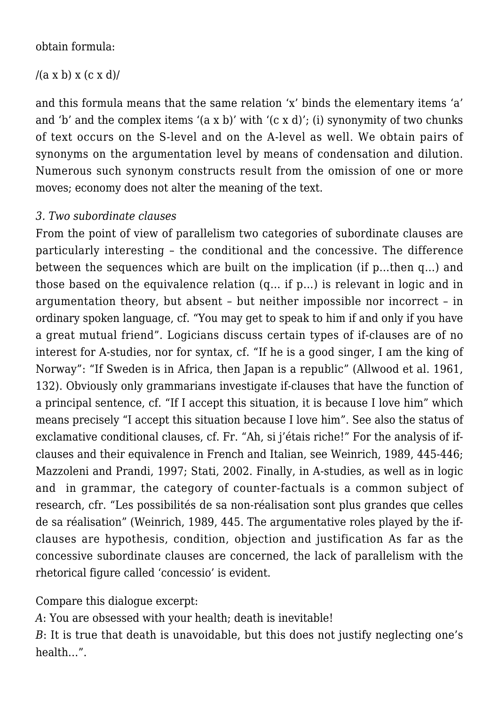obtain formula:

 $/(a x b) x (c x d)$ 

and this formula means that the same relation 'x' binds the elementary items 'a' and 'b' and the complex items '(a x b)' with '(c x d)'; (i) synonymity of two chunks of text occurs on the S-level and on the A-level as well. We obtain pairs of synonyms on the argumentation level by means of condensation and dilution. Numerous such synonym constructs result from the omission of one or more moves; economy does not alter the meaning of the text.

#### *3. Two subordinate clauses*

From the point of view of parallelism two categories of subordinate clauses are particularly interesting – the conditional and the concessive. The difference between the sequences which are built on the implication (if p…then q…) and those based on the equivalence relation (q… if p…) is relevant in logic and in argumentation theory, but absent – but neither impossible nor incorrect – in ordinary spoken language, cf. "You may get to speak to him if and only if you have a great mutual friend". Logicians discuss certain types of if-clauses are of no interest for A-studies, nor for syntax, cf. "If he is a good singer, I am the king of Norway": "If Sweden is in Africa, then Japan is a republic" (Allwood et al. 1961, 132). Obviously only grammarians investigate if-clauses that have the function of a principal sentence, cf. "If I accept this situation, it is because I love him" which means precisely "I accept this situation because I love him". See also the status of exclamative conditional clauses, cf. Fr. "Ah, si j'étais riche!" For the analysis of ifclauses and their equivalence in French and Italian, see Weinrich, 1989, 445-446; Mazzoleni and Prandi, 1997; Stati, 2002. Finally, in A-studies, as well as in logic and in grammar, the category of counter-factuals is a common subject of research, cfr. "Les possibilités de sa non-réalisation sont plus grandes que celles de sa réalisation" (Weinrich, 1989, 445. The argumentative roles played by the ifclauses are hypothesis, condition, objection and justification As far as the concessive subordinate clauses are concerned, the lack of parallelism with the rhetorical figure called 'concessio' is evident.

Compare this dialogue excerpt:

*A*: You are obsessed with your health; death is inevitable!

*B*: It is true that death is unavoidable, but this does not justify neglecting one's health…".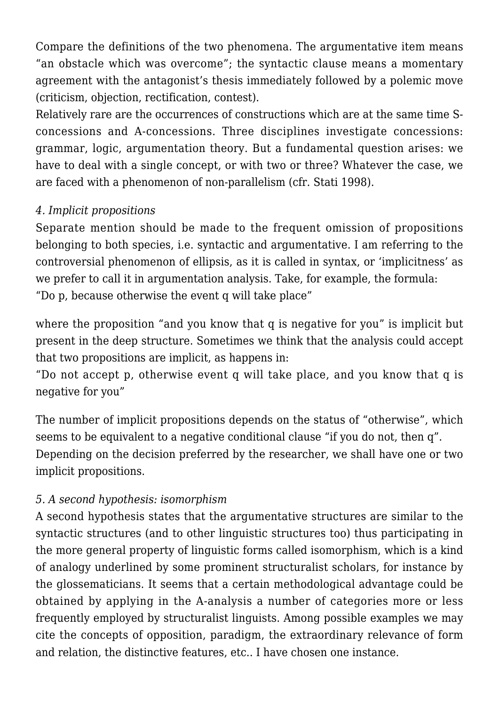Compare the definitions of the two phenomena. The argumentative item means "an obstacle which was overcome"; the syntactic clause means a momentary agreement with the antagonist's thesis immediately followed by a polemic move (criticism, objection, rectification, contest).

Relatively rare are the occurrences of constructions which are at the same time Sconcessions and A-concessions. Three disciplines investigate concessions: grammar, logic, argumentation theory. But a fundamental question arises: we have to deal with a single concept, or with two or three? Whatever the case, we are faced with a phenomenon of non-parallelism (cfr. Stati 1998).

## *4. Implicit propositions*

Separate mention should be made to the frequent omission of propositions belonging to both species, i.e. syntactic and argumentative. I am referring to the controversial phenomenon of ellipsis, as it is called in syntax, or 'implicitness' as we prefer to call it in argumentation analysis. Take, for example, the formula: "Do p, because otherwise the event q will take place"

where the proposition "and you know that q is negative for you" is implicit but present in the deep structure. Sometimes we think that the analysis could accept that two propositions are implicit, as happens in:

"Do not accept p, otherwise event q will take place, and you know that q is negative for you"

The number of implicit propositions depends on the status of "otherwise", which seems to be equivalent to a negative conditional clause "if you do not, then  $q$ ". Depending on the decision preferred by the researcher, we shall have one or two implicit propositions.

## *5. A second hypothesis: isomorphism*

A second hypothesis states that the argumentative structures are similar to the syntactic structures (and to other linguistic structures too) thus participating in the more general property of linguistic forms called isomorphism, which is a kind of analogy underlined by some prominent structuralist scholars, for instance by the glossematicians. It seems that a certain methodological advantage could be obtained by applying in the A-analysis a number of categories more or less frequently employed by structuralist linguists. Among possible examples we may cite the concepts of opposition, paradigm, the extraordinary relevance of form and relation, the distinctive features, etc.. I have chosen one instance.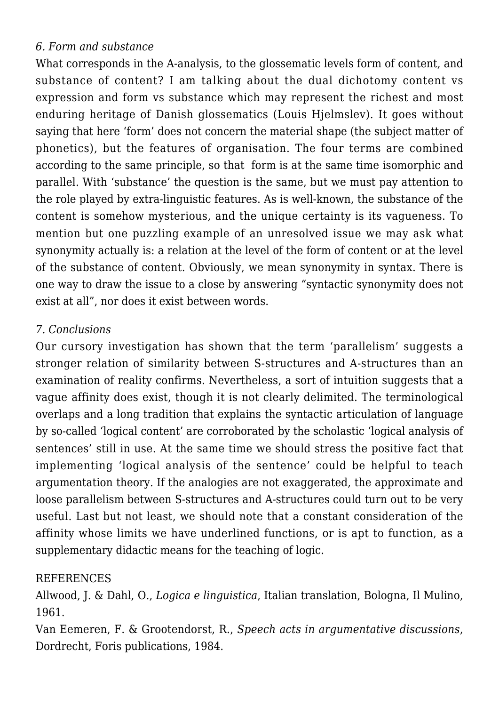#### *6. Form and substance*

What corresponds in the A-analysis, to the glossematic levels form of content, and substance of content? I am talking about the dual dichotomy content vs expression and form vs substance which may represent the richest and most enduring heritage of Danish glossematics (Louis Hjelmslev). It goes without saying that here 'form' does not concern the material shape (the subject matter of phonetics), but the features of organisation. The four terms are combined according to the same principle, so that form is at the same time isomorphic and parallel. With 'substance' the question is the same, but we must pay attention to the role played by extra-linguistic features. As is well-known, the substance of the content is somehow mysterious, and the unique certainty is its vagueness. To mention but one puzzling example of an unresolved issue we may ask what synonymity actually is: a relation at the level of the form of content or at the level of the substance of content. Obviously, we mean synonymity in syntax. There is one way to draw the issue to a close by answering "syntactic synonymity does not exist at all", nor does it exist between words.

## *7. Conclusions*

Our cursory investigation has shown that the term 'parallelism' suggests a stronger relation of similarity between S-structures and A-structures than an examination of reality confirms. Nevertheless, a sort of intuition suggests that a vague affinity does exist, though it is not clearly delimited. The terminological overlaps and a long tradition that explains the syntactic articulation of language by so-called 'logical content' are corroborated by the scholastic 'logical analysis of sentences' still in use. At the same time we should stress the positive fact that implementing 'logical analysis of the sentence' could be helpful to teach argumentation theory. If the analogies are not exaggerated, the approximate and loose parallelism between S-structures and A-structures could turn out to be very useful. Last but not least, we should note that a constant consideration of the affinity whose limits we have underlined functions, or is apt to function, as a supplementary didactic means for the teaching of logic.

## REFERENCES

Allwood, J. & Dahl, O., *Logica e linguistica*, Italian translation, Bologna, Il Mulino, 1961.

Van Eemeren, F. & Grootendorst, R., *Speech acts in argumentative discussions*, Dordrecht, Foris publications, 1984.